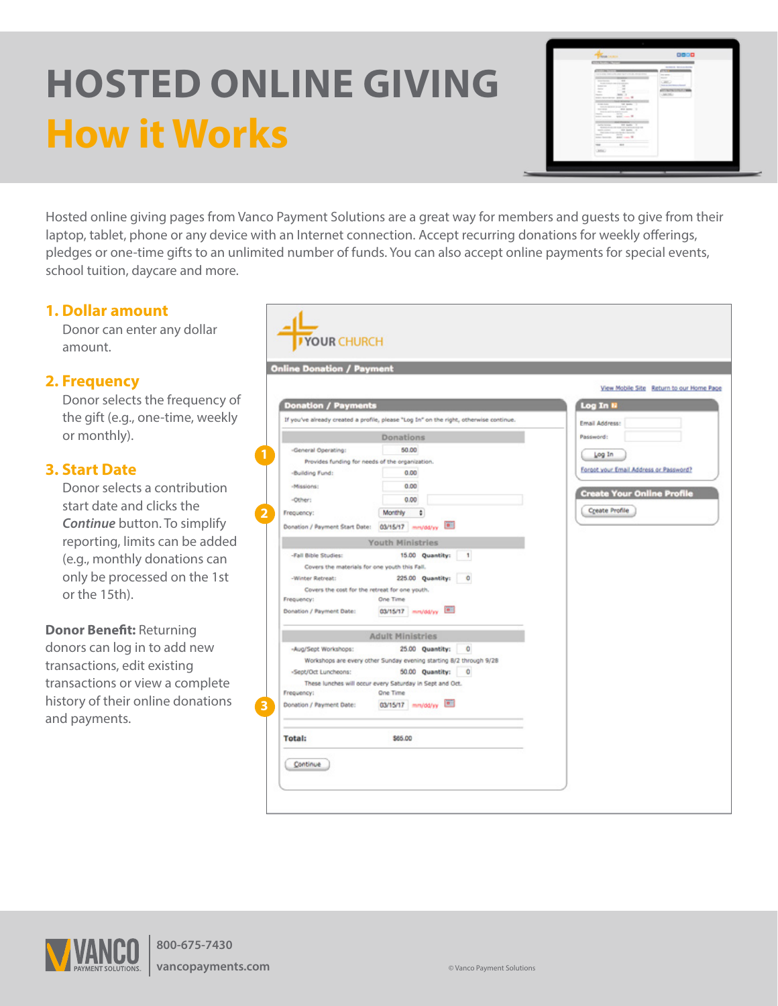# **HOSTED ONLINE GIVING How it Works**



Hosted online giving pages from Vanco Payment Solutions are a great way for members and guests to give from their laptop, tablet, phone or any device with an Internet connection. Accept recurring donations for weekly offerings, pledges or one-time gifts to an unlimited number of funds. You can also accept online payments for special events, school tuition, daycare and more.

# **1. Dollar amount**

Donor can enter any dollar amount.

### **2. Frequency**

Donor selects the frequency of the gift (e.g., one-time, weekly or monthly).

# **3. Start Date**

Donor selects a contribution start date and clicks the *Continue* button. To simplify reporting, limits can be added (e.g., monthly donations can only be processed on the 1st or the 15th).

**Donor Benefit:** Returning donors can log in to add new transactions, edit existing transactions or view a complete history of their online donations and payments.

|                                                                                                                                                                           | <b>Online Donation / Payment</b>                                                                                                                                                                                                                                                                                           |                                                                                                                |
|---------------------------------------------------------------------------------------------------------------------------------------------------------------------------|----------------------------------------------------------------------------------------------------------------------------------------------------------------------------------------------------------------------------------------------------------------------------------------------------------------------------|----------------------------------------------------------------------------------------------------------------|
|                                                                                                                                                                           |                                                                                                                                                                                                                                                                                                                            | View Mobile Site Return to our Home Page                                                                       |
| <b>Donation / Payments</b>                                                                                                                                                |                                                                                                                                                                                                                                                                                                                            | Log In N                                                                                                       |
|                                                                                                                                                                           | If you've already created a profile, please "Log In" on the right, otherwise continue.                                                                                                                                                                                                                                     | Email Address:                                                                                                 |
|                                                                                                                                                                           | Donations                                                                                                                                                                                                                                                                                                                  | Password:                                                                                                      |
| -General Operating:<br>-Building Fund:<br>-Missions:<br>-Other:<br>Frequency:<br>Donation / Payment Start Date:<br>-Fall Bible Studies:<br>-Winter Retreat:<br>Frequency: | 50.00<br>Provides funding for needs of the organization.<br>0.00<br>0.00<br>0.00<br>Monthly<br>٠<br>03/15/17 mm/dd/yy <b>ED</b><br><b>Youth Ministries</b><br>15.00 Quantity:<br>1<br>Covers the materials for one youth this Fall.<br>225.00 Quantity:<br>۰<br>Covers the cost for the retreat for one youth.<br>One Time | Log In<br>Forgot your Email Address or Password?<br><b>Create Your Online Profile</b><br><b>Create Profile</b> |
| Donation / Payment Date:                                                                                                                                                  | 03/15/17 mm/dd/yy [8]<br><b>Adult Ministries</b>                                                                                                                                                                                                                                                                           |                                                                                                                |
| -Aug/Sept Workshops:<br>-Sept/Oct Luncheons:<br>Frequency:<br>Donation / Payment Date:                                                                                    | 25.00 Quantity:<br>o<br>Workshops are every other Sunday evening starting 8/2 through 9/28<br>50.00 Quantity:<br>0<br>These lunches will occur every Saturday in Sept and Oct.<br>One Time<br>03/15/17 mm/dd/yy [ <sup>61</sup> ]                                                                                          |                                                                                                                |
|                                                                                                                                                                           |                                                                                                                                                                                                                                                                                                                            |                                                                                                                |